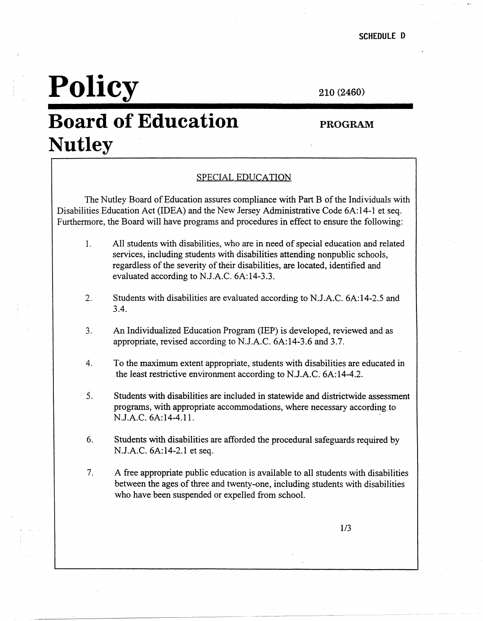## **Policy**

210 (2460)

## **Board of Education Nutley**

#### **PROGRAM**

#### SPECIAL EDUCATION

The Nutley Board of Education assures compliance with Part B of the Individuals with Disabilities Education Act (IDEA) and the New Jersey Administrative Code 6A:14-1 et seq. Furthermore, the Board will have programs and procedures in effect to ensure the following:

- 1. All students with disabilities, who are in need of special education and related services, including students with disabilities attending nonpublic schools, regardless of the severity of their disabilities, are located, identified and evaluated according to N.J.A.C. 6A:14-3.3.
- 2. Students with disabilities are evaluated according to N.J.A.C. 6A:14-2.5 and 3.4.
- 3. An Individualized Education Program (IEP) is developed, reviewed and as appropriate, revised according to N.J.A.C. 6A:14-3.6 and 3.7.
- 4. To the maximum extent appropriate, students with disabilities are educated in the least restrictive environment according to N.J.A.C. 6A:14-4.2.
- 5. Students with disabilities are included in statewide and districtwide assessment programs, with appropriate accommodations, where necessary according to N.J.A.C. 6A:14-4.1 l. .
- 6. Students with disabilities are afforded the procedural safeguards required by N.J.A.C. 6A:14-2.1 et seq.
- 7. A free appropriate public education is available to all students with disabilities between the ages of three and twenty-one, including students with disabilities who have been suspended or expelled from school.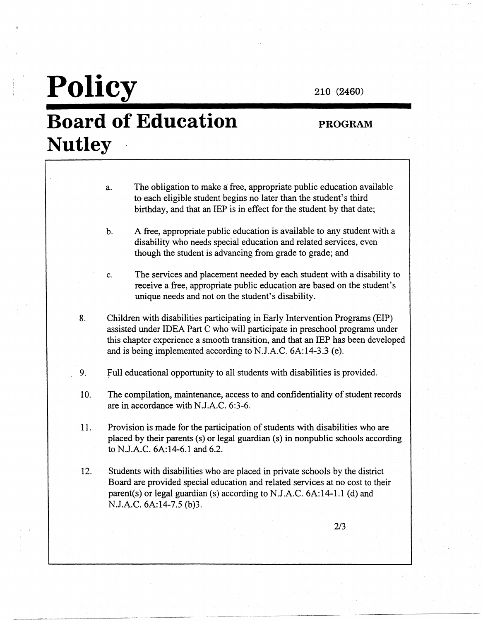### 210 (2460)

## **Board of Education Nutley**

**Policy** 

#### **PROGRAM**

- a. The obligation to make a free, appropriate public education available to each eligible student begins no later than the student's third birthday, and that an IEP is in effect for the student by that date;
- b. A free, appropriate public education is available to any student with a disability who needs special education and related services, even though the student is advancing from grade to grade; and

c. The services and placement needed by each student with a disability to receive a free, appropriate public education are based on the student's unique needs and not on the student's disability.

- 8. Children with disabilities participating in Early Intervention Programs (EIP) assisted under IDEA Part C who will participate in preschool programs under this chapter experience a smooth transition, and that an IEP has been developed and is being implemented according to N.J.A.C. 6A:14-3.3 (e).
- 9. full educational opportunity to all students with disabilities is provided.
- 10. The compilation, maintenance, access to and confidentiality of student records are in accordance with N.J.A.C. 6:3-6.
- 11. Provision is made for the participation of students with disabilities who are placed by their parents (s) or legal guardian (s) in nonpublic schools according to N.J.A.C. 6A:14-6.l and 6.2.
- 12. Students with disabilities who are placed in private schools by the district Board are provided special education and related services at no cost to their parent(s) or legal guardian (s) according to N.J.A.C.  $6A:14-1.1$  (d) and N.J.A.C. 6A:14-7.5 (b)3.